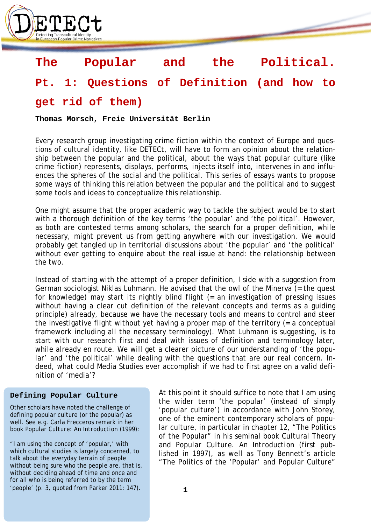

# **The Popular and the Political.**

## **Pt. 1: Questions of Definition (and how to**

### **get rid of them)**

**Thomas Morsch, Freie Universität Berlin**

Every research group investigating crime fiction within the context of Europe and questions of cultural identity, like DETECt, will have to form an opinion about the relationship between the popular and the political, about the ways that popular culture (like crime fiction) represents, displays, performs, injects itself into, intervenes in and influences the spheres of the social and the political. This series of essays wants to propose some ways of thinking this relation between the popular and the political and to suggest some tools and ideas to conceptualize this relationship.

One might assume that the proper academic way to tackle the subject would be to start with a thorough definition of the key terms 'the popular' and 'the political'. However, as both are contested terms among scholars, the search for a proper definition, while necessary, might prevent us from getting anywhere with our investigation. We would probably get tangled up in territorial discussions about 'the popular' and 'the political' without ever getting to enquire about the real issue at hand: the relationship between the two.

Instead of starting with the attempt of a proper definition, I side with a suggestion from German sociologist Niklas Luhmann. He advised that the owl of the Minerva (= the quest for knowledge) may start its nightly blind flight (= an investigation of pressing issues without having a clear cut definition of the relevant concepts and terms as a guiding principle) already, because we have the necessary tools and means to control and steer the investigative flight without yet having a proper map of the territory (= a conceptual framework including all the necessary terminology). What Luhmann is suggesting, is to start with our research first and deal with issues of definition and terminology later, while already en route. We will get a clearer picture of our understanding of 'the popular' and 'the political' while dealing with the questions that are our real concern. Indeed, what could Media Studies ever accomplish if we had to first agree on a valid definition of 'media'?

#### **Defining Popular Culture**

Other scholars have noted the challenge of defining popular culture (or the popular) as well. See e.g. Carla Frecceros remark in her book *Popular Culture: An Introduction* (1999):

"I am using the concept of 'popular,' with which cultural studies is largely concerned, to talk about the everyday terrain of people without being sure who the people are, that is, without deciding ahead of time and once and for all who is being referred to by the term 'people' (p. 3, quoted from Parker 2011: 147).

At this point it should suffice to note that I am using the wider term 'the popular' (instead of simply 'popular culture') in accordance with John Storey, one of the eminent contemporary scholars of popular culture, in particular in chapter 12, "The Politics of the Popular" in his seminal book *Cultural Theory and Popular Culture. An Introduction* (first published in 1997), as well as Tony Bennett's article "The Politics of the 'Popular' and Popular Culture"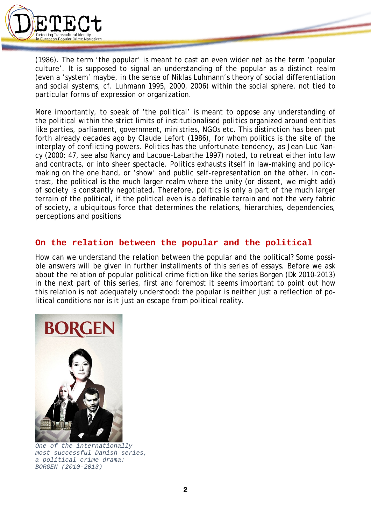

(1986). The term 'the popular' is meant to cast an even wider net as the term 'popular culture'. It is supposed to signal an understanding of the popular as a distinct realm (even a 'system' maybe, in the sense of Niklas Luhmann's theory of social differentiation and social systems, cf. Luhmann 1995, 2000, 2006) within the social sphere, not tied to particular forms of expression or organization.

More importantly, to speak of 'the *political*' is meant to oppose any understanding of the political within the strict limits of institutionalised *politics* organized around entities like parties, parliament, government, ministries, NGOs etc. This distinction has been put forth already decades ago by Claude Lefort (1986), for whom politics is the site of the interplay of conflicting powers. Politics has the unfortunate tendency, as Jean-Luc Nancy (2000: 47, see also Nancy and Lacoue-Labarthe 1997) noted, to retreat either into law and contracts, or into sheer spectacle. Politics exhausts itself in law-making and policymaking on the one hand, or 'show' and public self-representation on the other. In contrast, the political is the much larger realm where the unity (or dissent, we might add) of society is constantly negotiated. Therefore, politics is only a part of the much larger terrain of the political, if the political even is a definable terrain and not the very fabric of society, a ubiquitous force that determines the relations, hierarchies, dependencies, perceptions and positions

### **On the relation between the popular and the political**

How can we understand the relation between the popular and the political? Some possible answers will be given in further installments of this series of essays. Before we ask about the relation of popular political crime fiction like the series *Borgen* (Dk 2010-2013) in the next part of this series, first and foremost it seems important to point out how this relation is *not* adequately understood: the popular is neither just a reflection of political conditions nor is it just an escape from political reality.



*One of the internationally most successful Danish series, a political crime drama: BORGEN (2010-2013)*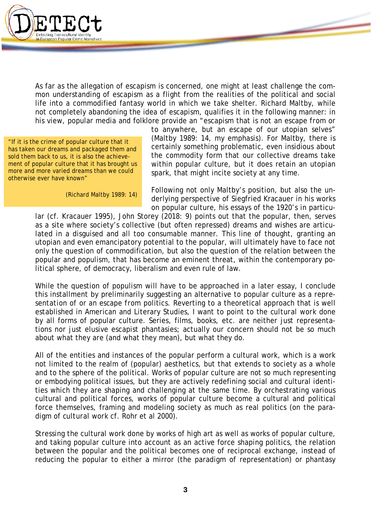

As far as the allegation of escapism is concerned, one might at least challenge the common understanding of escapism as a flight from the realities of the political and social life into a commodified fantasy world in which we take shelter. Richard Maltby, while not completely abandoning the idea of escapism, qualifies it in the following manner: in his view, popular media and folklore provide an "escapism that is *not an escape from or* 

"If it is the crime of popular culture that it has taken our dreams and packaged them and sold them back to us, it is also the achievement of popular culture that it has brought us more and more varied dreams than we could otherwise ever have known"

(Richard Maltby 1989: 14)

*to anywhere*, but an escape of our utopian selves" (Maltby 1989: 14, my emphasis). For Maltby, there is certainly something problematic, even insidious about the commodity form that our collective dreams take within popular culture, but it does retain an utopian spark, that might incite society at any time.

Following not only Maltby's position, but also the underlying perspective of Siegfried Kracauer in his works on popular culture, his essays of the 1920's in particu-

lar (cf. Kracauer 1995), John Storey (2018: 9) points out that the popular, then, serves as a site where society's collective (but often repressed) dreams and wishes are articulated in a disguised and all too consumable manner. This line of thought, granting an utopian and even emancipatory potential to the popular, will ultimately have to face not only the question of commodification, but also the question of the relation between the popular and populism, that has become an eminent threat, within the contemporary political sphere, of democracy, liberalism and even rule of law.

While the question of populism will have to be approached in a later essay, I conclude this installment by preliminarily suggesting an alternative to popular culture as a *representation of* or an *escape from* politics. Reverting to a theoretical approach that is well established in American and Literary Studies, I want to point to the *cultural work* done by all forms of popular culture. Series, films, books, etc. are neither just representations nor just elusive escapist phantasies; actually our concern should not be so much about what they *are* (and what they *mean*), but what they *do*.

All of the entities and instances of the popular perform a cultural work, which is a work not limited to the realm of (popular) aesthetics, but that extends to society as a whole and to the sphere of the political. Works of popular culture are not so much representing or embodying political issues, but they are actively redefining social and cultural identities which they are shaping and challenging at the same time. By orchestrating various cultural and political forces, works of popular culture become a cultural and political force themselves, framing and modeling society as much as real politics (on the paradigm of *cultural work* cf. Rohr et al 2000).

Stressing the cultural work done by works of high art as well as works of popular culture, and taking popular culture into account as an active force shaping politics, the relation between the popular and the political becomes one of reciprocal exchange, instead of reducing the popular to either a mirror (the paradigm of representation) or phantasy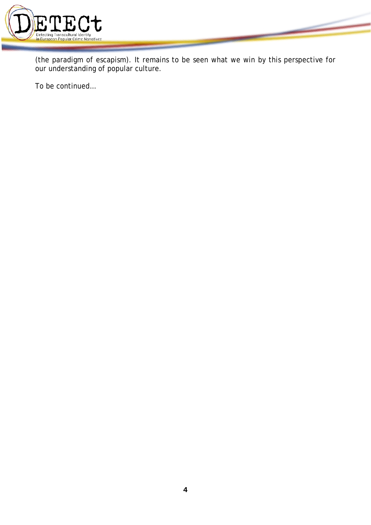

(the paradigm of escapism). It remains to be seen what we win by this perspective for our understanding of popular culture.

To be continued…